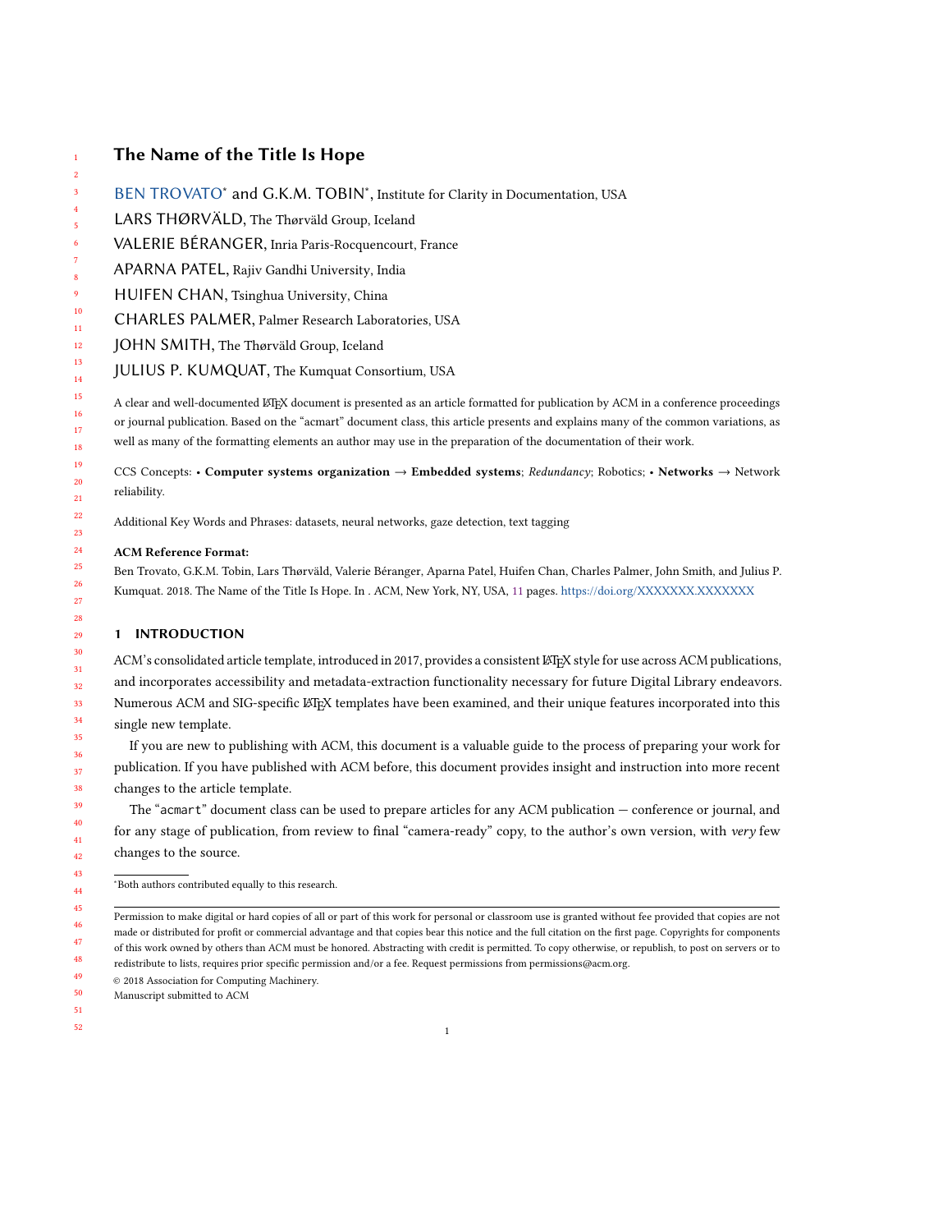# The Name of the Title Is Hope

- [BEN TROVATO](HTTPS://ORCID.ORG/1234-5678-9012)\* and G.K.M. TOBIN\*, Institute for Clarity in Documentation, USA
- LARS THØRVÄLD, The Thørväld Group, Iceland
- VALERIE BÉRANGER, Inria Paris-Rocquencourt, France
- APARNA PATEL, Rajiv Gandhi University, India
- HUIFEN CHAN, Tsinghua University, China
- CHARLES PALMER, Palmer Research Laboratories, USA
- JOHN SMITH, The Thørväld Group, Iceland
- JULIUS P. KUMQUAT, The Kumquat Consortium, USA

A clear and well-documented LTEX document is presented as an article formatted for publication by ACM in a conference proceedings or journal publication. Based on the "acmart" document class, this article presents and explains many of the common variations, as well as many of the formatting elements an author may use in the preparation of the documentation of their work.

CCS Concepts: • Computer systems organization → Embedded systems; Redundancy; Robotics; • Networks → Network reliability.

Additional Key Words and Phrases: datasets, neural networks, gaze detection, text tagging

### ACM Reference Format:

Ben Trovato, G.K.M. Tobin, Lars Thørväld, Valerie Béranger, Aparna Patel, Huifen Chan, Charles Palmer, John Smith, and Julius P. Kumquat. 2018. The Name of the Title Is Hope. In . ACM, New York, NY, USA, [11](#page-10-0) pages. <https://doi.org/XXXXXXX.XXXXXXX>

# 1 INTRODUCTION

ACM's consolidated article template, introduced in 2017, provides a consistent LATEX style for use across ACM publications, and incorporates accessibility and metadata-extraction functionality necessary for future Digital Library endeavors. Numerous ACM and SIG-specific LATEX templates have been examined, and their unique features incorporated into this single new template.

If you are new to publishing with ACM, this document is a valuable guide to the process of preparing your work for publication. If you have published with ACM before, this document provides insight and instruction into more recent changes to the article template.

The "acmart" document class can be used to prepare articles for any ACM publication — conference or journal, and for any stage of publication, from review to final "camera-ready" copy, to the author's own version, with very few changes to the source.

<sup>∗</sup>Both authors contributed equally to this research.

49 © 2018 Association for Computing Machinery.

50 Manuscript submitted to ACM

51 52

Permission to make digital or hard copies of all or part of this work for personal or classroom use is granted without fee provided that copies are not made or distributed for profit or commercial advantage and that copies bear this notice and the full citation on the first page. Copyrights for components of this work owned by others than ACM must be honored. Abstracting with credit is permitted. To copy otherwise, or republish, to post on servers or to redistribute to lists, requires prior specific permission and/or a fee. Request permissions from permissions@acm.org.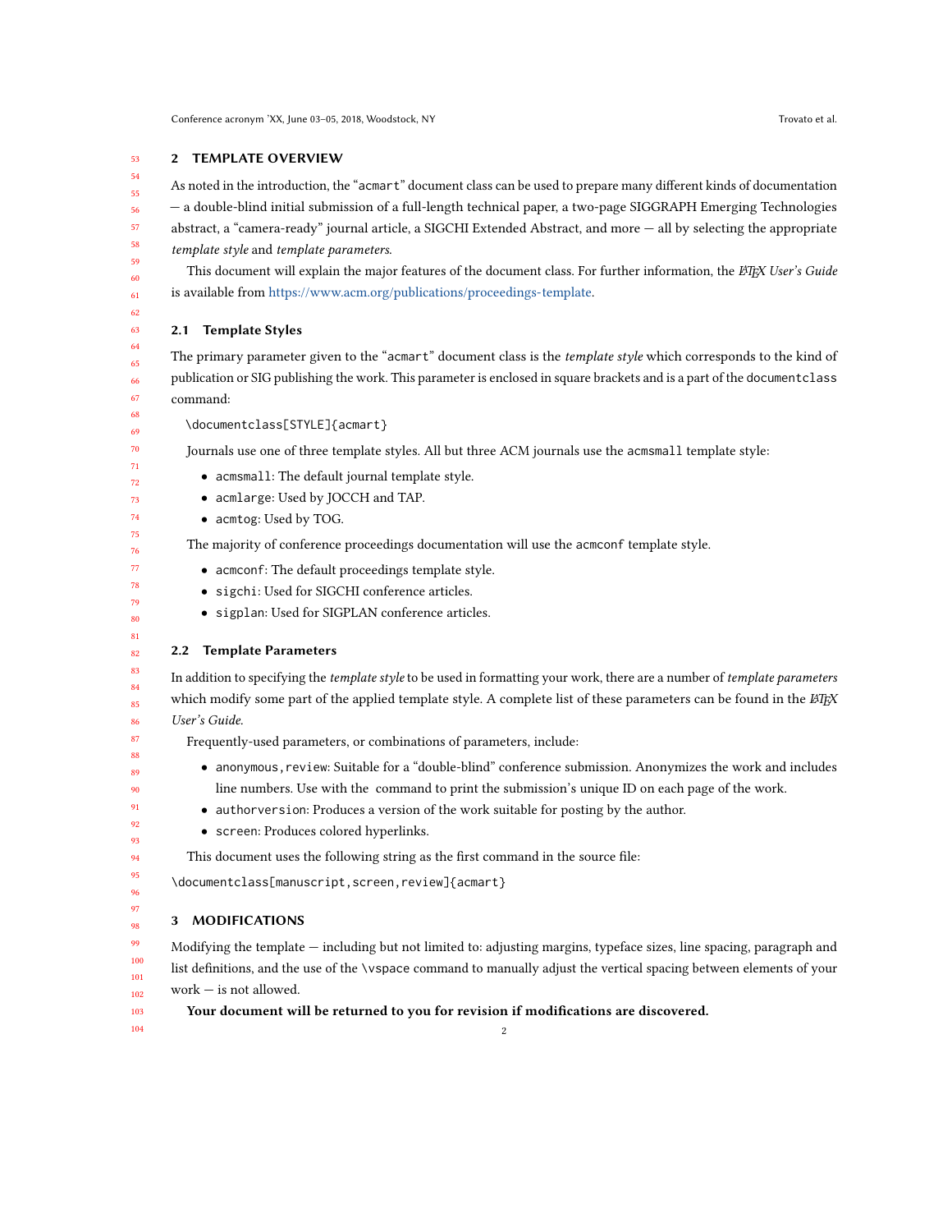#### 53 2 TEMPLATE OVERVIEW

As noted in the introduction, the "acmart" document class can be used to prepare many different kinds of documentation — a double-blind initial submission of a full-length technical paper, a two-page SIGGRAPH Emerging Technologies abstract, a "camera-ready" journal article, a SIGCHI Extended Abstract, and more — all by selecting the appropriate template style and template parameters.

This document will explain the major features of the document class. For further information, the LATEX User's Guide is available from [https://www.acm.org/publications/proceedings-template.](https://www.acm.org/publications/proceedings-template)

#### 2.1 Template Styles

The primary parameter given to the "acmart" document class is the *template style* which corresponds to the kind of publication or SIG publishing the work. This parameter is enclosed in square brackets and is a part of the documentclass command:

\documentclass[STYLE]{acmart}

Journals use one of three template styles. All but three ACM journals use the acmsmall template style:

- acmsmall: The default journal template style.
- acmlarge: Used by JOCCH and TAP.
- acmtog: Used by TOG.

The majority of conference proceedings documentation will use the acmconf template style.

- acmconf: The default proceedings template style.
- sigchi: Used for SIGCHI conference articles.
- sigplan: Used for SIGPLAN conference articles.

### 2.2 Template Parameters

In addition to specifying the template style to be used in formatting your work, there are a number of template parameters which modify some part of the applied template style. A complete list of these parameters can be found in the  $\cancel{ETPX}$ User's Guide.

- Frequently-used parameters, or combinations of parameters, include:
- anonymous,review: Suitable for a "double-blind" conference submission. Anonymizes the work and includes line numbers. Use with the command to print the submission's unique ID on each page of the work.
	- authorversion: Produces a version of the work suitable for posting by the author.
	- screen: Produces colored hyperlinks.

This document uses the following string as the first command in the source file:

\documentclass[manuscript,screen,review]{acmart}

# 3 MODIFICATIONS

Modifying the template — including but not limited to: adjusting margins, typeface sizes, line spacing, paragraph and list definitions, and the use of the \vspace command to manually adjust the vertical spacing between elements of your work — is not allowed.

2

Your document will be returned to you for revision if modifications are discovered.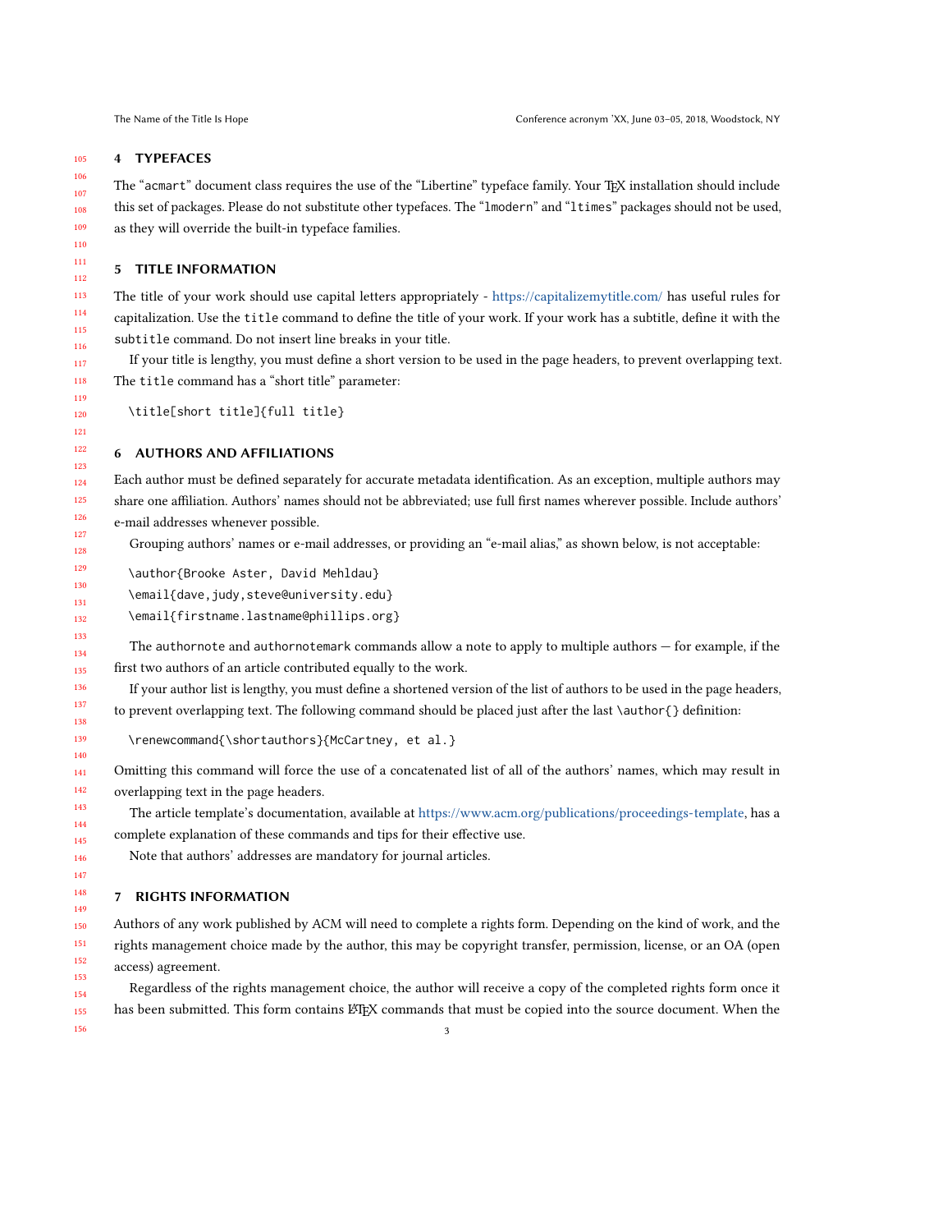### 4 TYPEFACES

The "acmart" document class requires the use of the "Libertine" typeface family. Your TFX installation should include this set of packages. Please do not substitute other typefaces. The "lmodern" and "ltimes" packages should not be used, as they will override the built-in typeface families.

#### 5 TITLE INFORMATION

The title of your work should use capital letters appropriately - <https://capitalizemytitle.com/> has useful rules for capitalization. Use the title command to define the title of your work. If your work has a subtitle, define it with the subtitle command. Do not insert line breaks in your title.

If your title is lengthy, you must define a short version to be used in the page headers, to prevent overlapping text. The title command has a "short title" parameter:

\title[short title]{full title}

# 6 AUTHORS AND AFFILIATIONS

Each author must be defined separately for accurate metadata identification. As an exception, multiple authors may share one affiliation. Authors' names should not be abbreviated; use full first names wherever possible. Include authors' e-mail addresses whenever possible.

Grouping authors' names or e-mail addresses, or providing an "e-mail alias," as shown below, is not acceptable:

\author{Brooke Aster, David Mehldau}

\email{dave,judy,steve@university.edu}

\email{firstname.lastname@phillips.org}

The authornote and authornotemark commands allow a note to apply to multiple authors — for example, if the first two authors of an article contributed equally to the work.

If your author list is lengthy, you must define a shortened version of the list of authors to be used in the page headers, to prevent overlapping text. The following command should be placed just after the last \author{} definition:

\renewcommand{\shortauthors}{McCartney, et al.}

Omitting this command will force the use of a concatenated list of all of the authors' names, which may result in overlapping text in the page headers.

The article template's documentation, available at [https://www.acm.org/publications/proceedings-template,](https://www.acm.org/publications/proceedings-template) has a complete explanation of these commands and tips for their effective use.

Note that authors' addresses are mandatory for journal articles.

# 7 RIGHTS INFORMATION

Authors of any work published by ACM will need to complete a rights form. Depending on the kind of work, and the rights management choice made by the author, this may be copyright transfer, permission, license, or an OA (open access) agreement.

Regardless of the rights management choice, the author will receive a copy of the completed rights form once it has been submitted. This form contains LATEX commands that must be copied into the source document. When the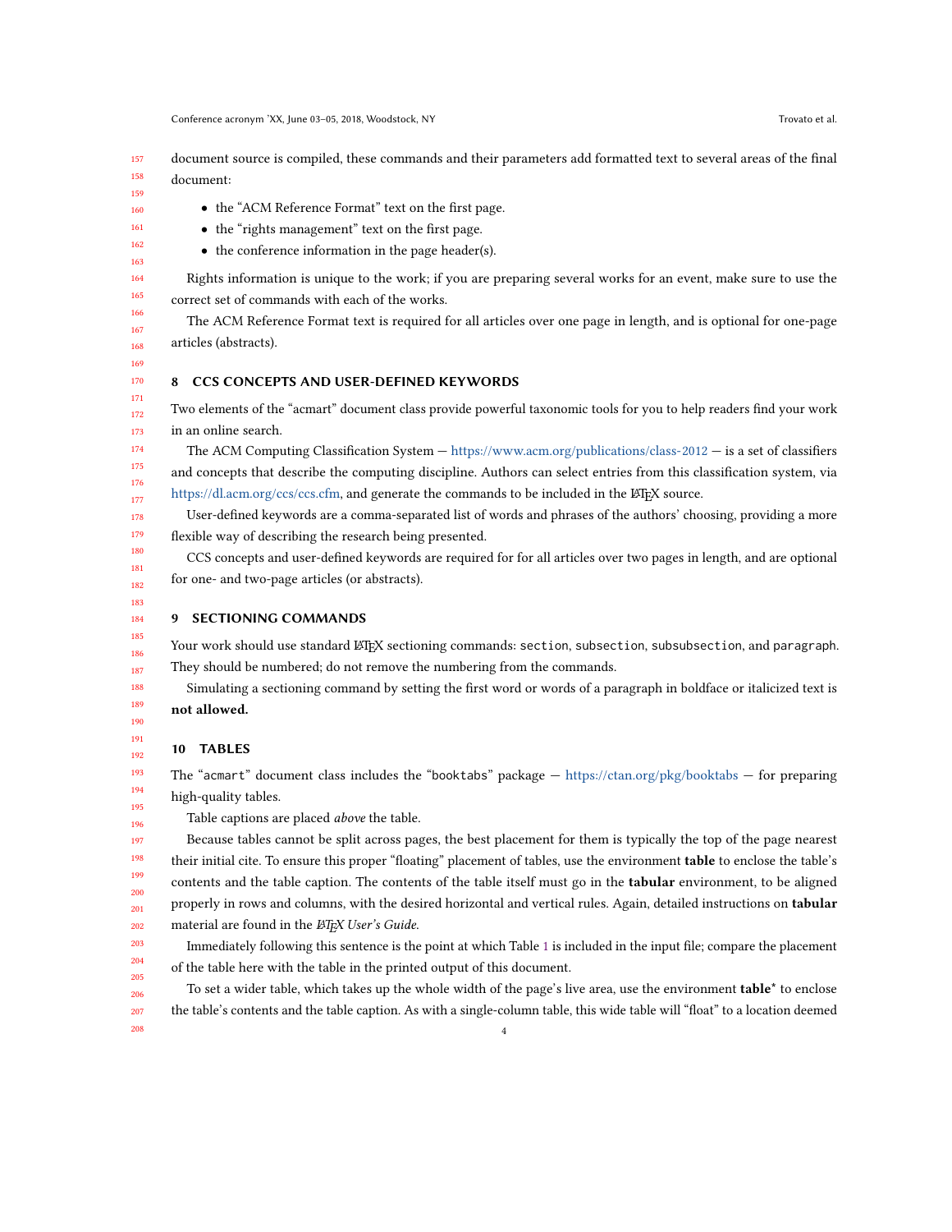157 158 document source is compiled, these commands and their parameters add formatted text to several areas of the final document:

159

- the "ACM Reference Format" text on the first page.
- the "rights management" text on the first page.
- the conference information in the page header(s).

Rights information is unique to the work; if you are preparing several works for an event, make sure to use the correct set of commands with each of the works.

The ACM Reference Format text is required for all articles over one page in length, and is optional for one-page articles (abstracts).

## 8 CCS CONCEPTS AND USER-DEFINED KEYWORDS

Two elements of the "acmart" document class provide powerful taxonomic tools for you to help readers find your work in an online search.

The ACM Computing Classification System — <https://www.acm.org/publications/class-2012> — is a set of classifiers and concepts that describe the computing discipline. Authors can select entries from this classification system, via [https://dl.acm.org/ccs/ccs.cfm,](https://dl.acm.org/ccs/ccs.cfm) and generate the commands to be included in the LATEX source.

User-defined keywords are a comma-separated list of words and phrases of the authors' choosing, providing a more flexible way of describing the research being presented.

CCS concepts and user-defined keywords are required for for all articles over two pages in length, and are optional for one- and two-page articles (or abstracts).

9 SECTIONING COMMANDS

Your work should use standard LATEX sectioning commands: section, subsection, subsubsection, and paragraph. They should be numbered; do not remove the numbering from the commands.

Simulating a sectioning command by setting the first word or words of a paragraph in boldface or italicized text is not allowed.

10 TABLES

208

The "acmart" document class includes the "booktabs" package  $-$  <https://ctan.org/pkg/booktabs>  $-$  for preparing high-quality tables.

Table captions are placed above the table.

Because tables cannot be split across pages, the best placement for them is typically the top of the page nearest their initial cite. To ensure this proper "floating" placement of tables, use the environment **table** to enclose the table's contents and the table caption. The contents of the table itself must go in the tabular environment, to be aligned properly in rows and columns, with the desired horizontal and vertical rules. Again, detailed instructions on tabular material are found in the *EIFX User's Guide*.

203 204 205 Immediately following this sentence is the point at which Table [1](#page-4-0) is included in the input file; compare the placement of the table here with the table in the printed output of this document.

206 207 To set a wider table, which takes up the whole width of the page's live area, use the environment table\* to enclose the table's contents and the table caption. As with a single-column table, this wide table will "float" to a location deemed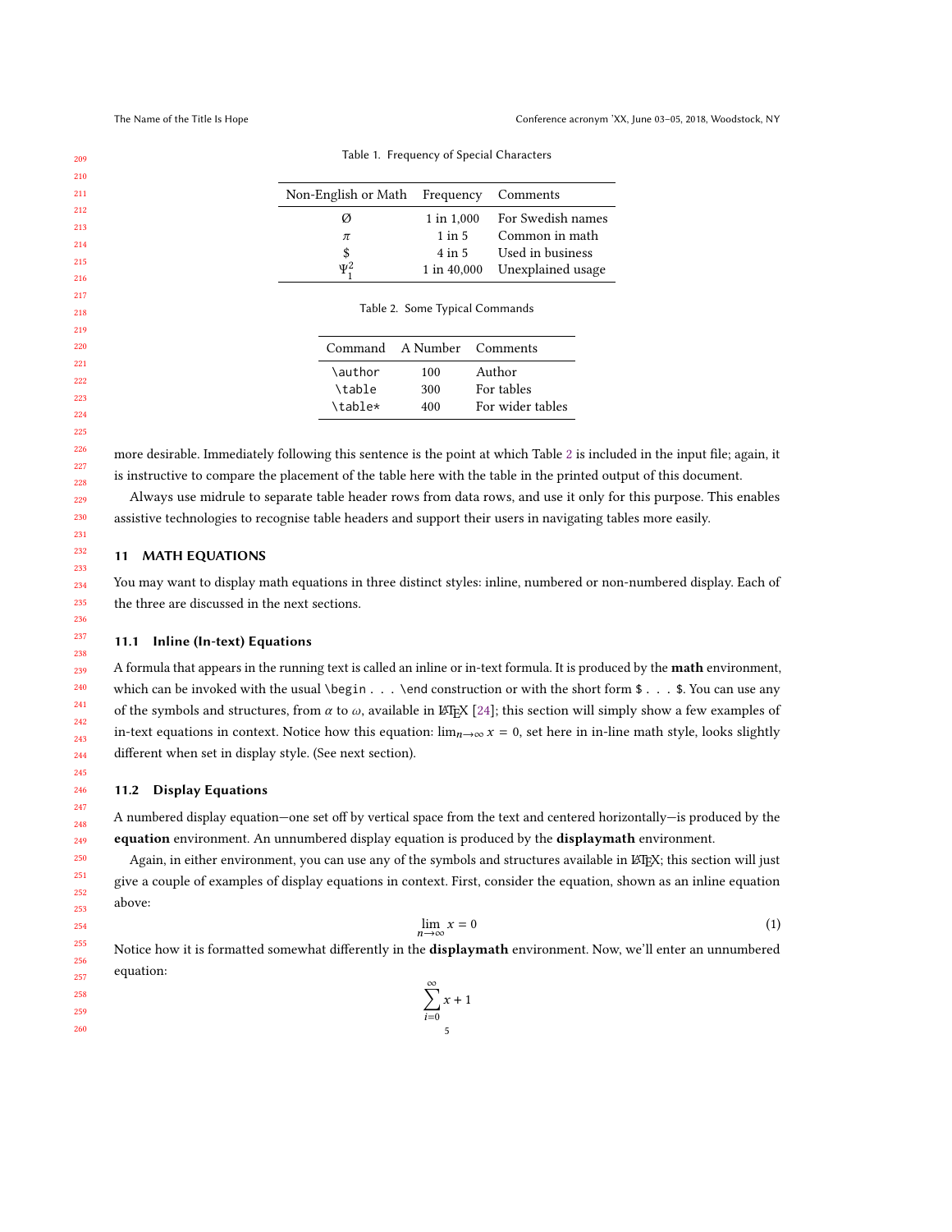<span id="page-4-1"></span><span id="page-4-0"></span>

| 209 |                     | Table 1. Frequency of Special Characters |                   |  |  |
|-----|---------------------|------------------------------------------|-------------------|--|--|
| 210 |                     |                                          |                   |  |  |
| 211 | Non-English or Math | Frequency                                | Comments          |  |  |
| 212 | Ø                   | 1 in 1,000                               | For Swedish names |  |  |
| 213 | $\pi$               | $1$ in $5$                               | Common in math    |  |  |
| 214 | \$                  | $4$ in $5$                               | Used in business  |  |  |
| 215 | $\Psi_1^2$          | 1 in 40,000                              | Unexplained usage |  |  |
| 216 |                     |                                          |                   |  |  |
| 217 |                     | Table 2. Some Typical Commands           |                   |  |  |
| 218 |                     |                                          |                   |  |  |
| 219 |                     |                                          |                   |  |  |
| 220 | Command             | A Number                                 | Comments          |  |  |
| 221 | \author             | 100                                      | Author            |  |  |
| 222 | \table              | 300                                      | For tables        |  |  |
| 223 |                     |                                          |                   |  |  |

Table 1. Frequency of Special Characters

more desirable. Immediately following this sentence is the point at which Table [2](#page-4-1) is included in the input file; again, it is instructive to compare the placement of the table here with the table in the printed output of this document.

\table\* 400 For wider tables

Always use midrule to separate table header rows from data rows, and use it only for this purpose. This enables assistive technologies to recognise table headers and support their users in navigating tables more easily.

# 11 MATH EQUATIONS

You may want to display math equations in three distinct styles: inline, numbered or non-numbered display. Each of the three are discussed in the next sections.

## 11.1 Inline (In-text) Equations

A formula that appears in the running text is called an inline or in-text formula. It is produced by the math environment, which can be invoked with the usual \begin . . . \end construction or with the short form \$ . . . \$. You can use any of the symbols and structures, from  $\alpha$  to  $\omega$ , available in LATEX [\[24\]](#page-9-0); this section will simply show a few examples of in-text equations in context. Notice how this equation:  $\lim_{n\to\infty} x = 0$ , set here in in-line math style, looks slightly different when set in display style. (See next section).

#### 11.2 Display Equations

A numbered display equation—one set off by vertical space from the text and centered horizontally—is produced by the equation environment. An unnumbered display equation is produced by the displaymath environment.

Again, in either environment, you can use any of the symbols and structures available in LATEX; this section will just give a couple of examples of display equations in context. First, consider the equation, shown as an inline equation above:

$$
\lim_{n \to \infty} x = 0 \tag{1}
$$

Notice how it is formatted somewhat differently in the displaymath environment. Now, we'll enter an unnumbered equation:

 $x + 1$ 

5

 $\sum_{}^{\infty}$  $i=0$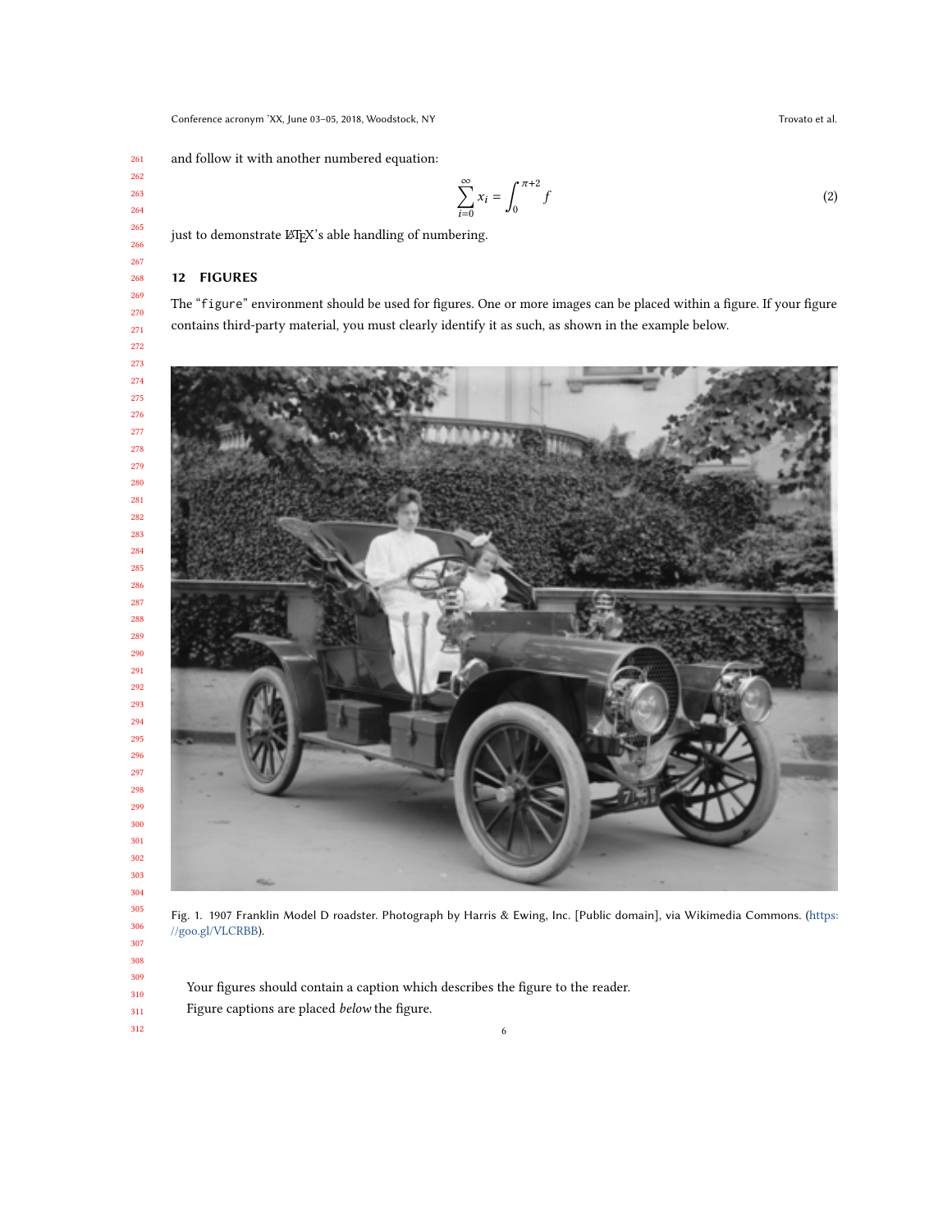and follow it with another numbered equation:

$$
\sum_{i=0}^{\infty} x_i = \int_0^{\pi+2} f \tag{2}
$$

just to demonstrate LATEX's able handling of numbering.

### 12 FIGURES

The "figure" environment should be used for figures. One or more images can be placed within a figure. If your figure contains third-party material, you must clearly identify it as such, as shown in the example below.



Fig. 1. 1907 Franklin Model D roadster. Photograph by Harris & Ewing, Inc. [Public domain], via Wikimedia Commons. ([https:](https://goo.gl/VLCRBB) [//goo.gl/VLCRBB](https://goo.gl/VLCRBB)).

Your figures should contain a caption which describes the figure to the reader. Figure captions are placed below the figure.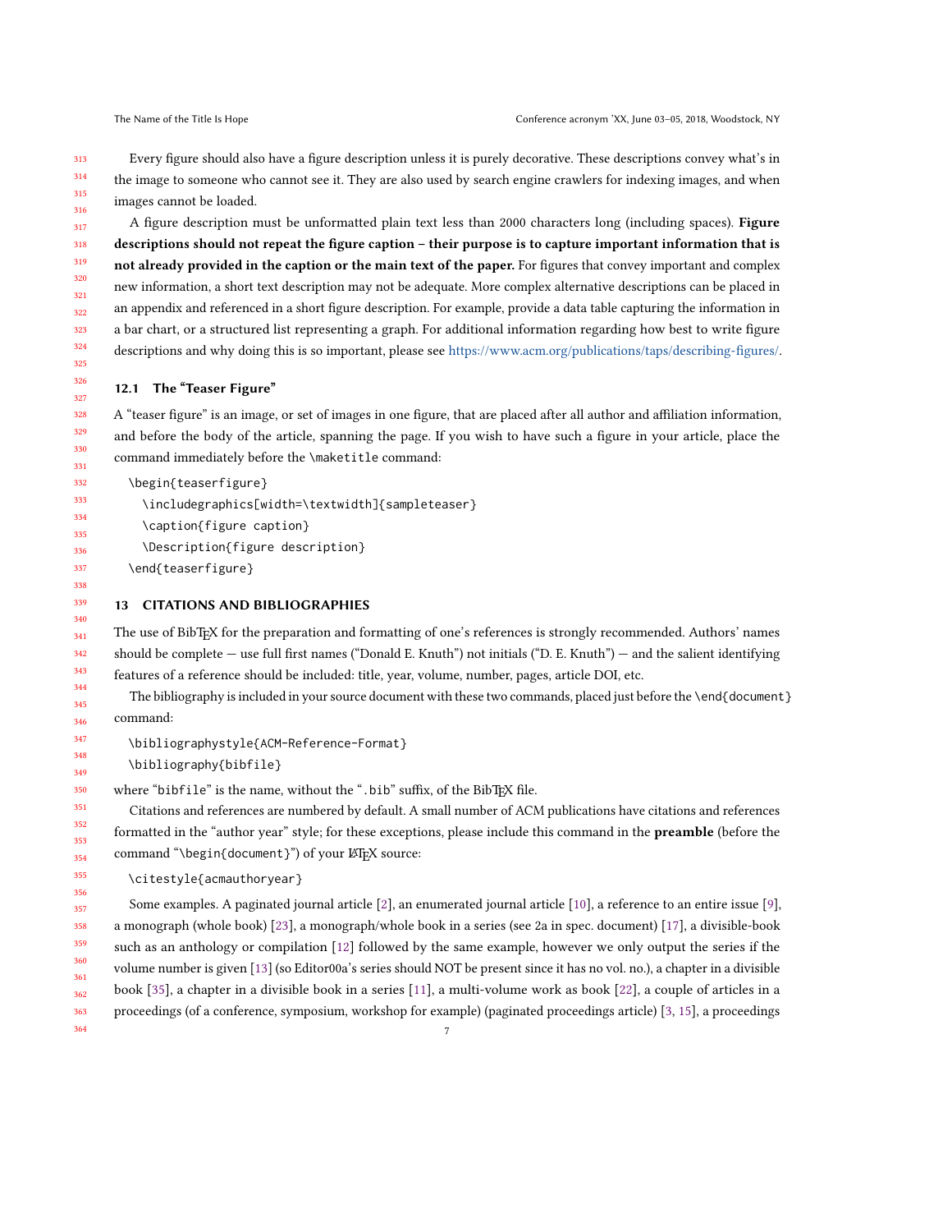313 314 315 316 Every figure should also have a figure description unless it is purely decorative. These descriptions convey what's in the image to someone who cannot see it. They are also used by search engine crawlers for indexing images, and when images cannot be loaded.

317 318 319 320 321 322 323 324 325 A figure description must be unformatted plain text less than 2000 characters long (including spaces). Figure descriptions should not repeat the figure caption – their purpose is to capture important information that is not already provided in the caption or the main text of the paper. For figures that convey important and complex new information, a short text description may not be adequate. More complex alternative descriptions can be placed in an appendix and referenced in a short figure description. For example, provide a data table capturing the information in a bar chart, or a structured list representing a graph. For additional information regarding how best to write figure descriptions and why doing this is so important, please see [https://www.acm.org/publications/taps/describing-figures/.](https://www.acm.org/publications/taps/describing-figures/)

#### 12.1 The "Teaser Figure"

A "teaser figure" is an image, or set of images in one figure, that are placed after all author and affiliation information, and before the body of the article, spanning the page. If you wish to have such a figure in your article, place the command immediately before the \maketitle command:

```
\begin{teaserfigure}
```

```
\includegraphics[width=\textwidth]{sampleteaser}
```
- \caption{figure caption}
- \Description{figure description}
- \end{teaserfigure}

# 13 CITATIONS AND BIBLIOGRAPHIES

The use of BibTEX for the preparation and formatting of one's references is strongly recommended. Authors' names should be complete — use full first names ("Donald E. Knuth") not initials ("D. E. Knuth") — and the salient identifying features of a reference should be included: title, year, volume, number, pages, article DOI, etc.

The bibliography is included in your source document with these two commands, placed just before the \end{document} command:

\bibliographystyle{ACM-Reference-Format}

\bibliography{bibfile}

where "bibfile" is the name, without the ".bib" suffix, of the BibTEX file.

Citations and references are numbered by default. A small number of ACM publications have citations and references formatted in the "author year" style; for these exceptions, please include this command in the **preamble** (before the command "\begin{document}") of your LATEX source:

```
\citestyle{acmauthoryear}
```
357 358 359 360 361 362 363 364 Some examples. A paginated journal article [\[2\]](#page-8-0), an enumerated journal article [\[10\]](#page-8-1), a reference to an entire issue [\[9\]](#page-8-2), a monograph (whole book) [\[23\]](#page-9-1), a monograph/whole book in a series (see 2a in spec. document) [\[17\]](#page-8-3), a divisible-book such as an anthology or compilation [\[12\]](#page-8-4) followed by the same example, however we only output the series if the volume number is given [\[13\]](#page-8-5) (so Editor00a's series should NOT be present since it has no vol. no.), a chapter in a divisible book [\[35\]](#page-9-2), a chapter in a divisible book in a series [\[11\]](#page-8-6), a multi-volume work as book [\[22\]](#page-9-3), a couple of articles in a proceedings (of a conference, symposium, workshop for example) (paginated proceedings article) [\[3,](#page-8-7) [15\]](#page-8-8), a proceedings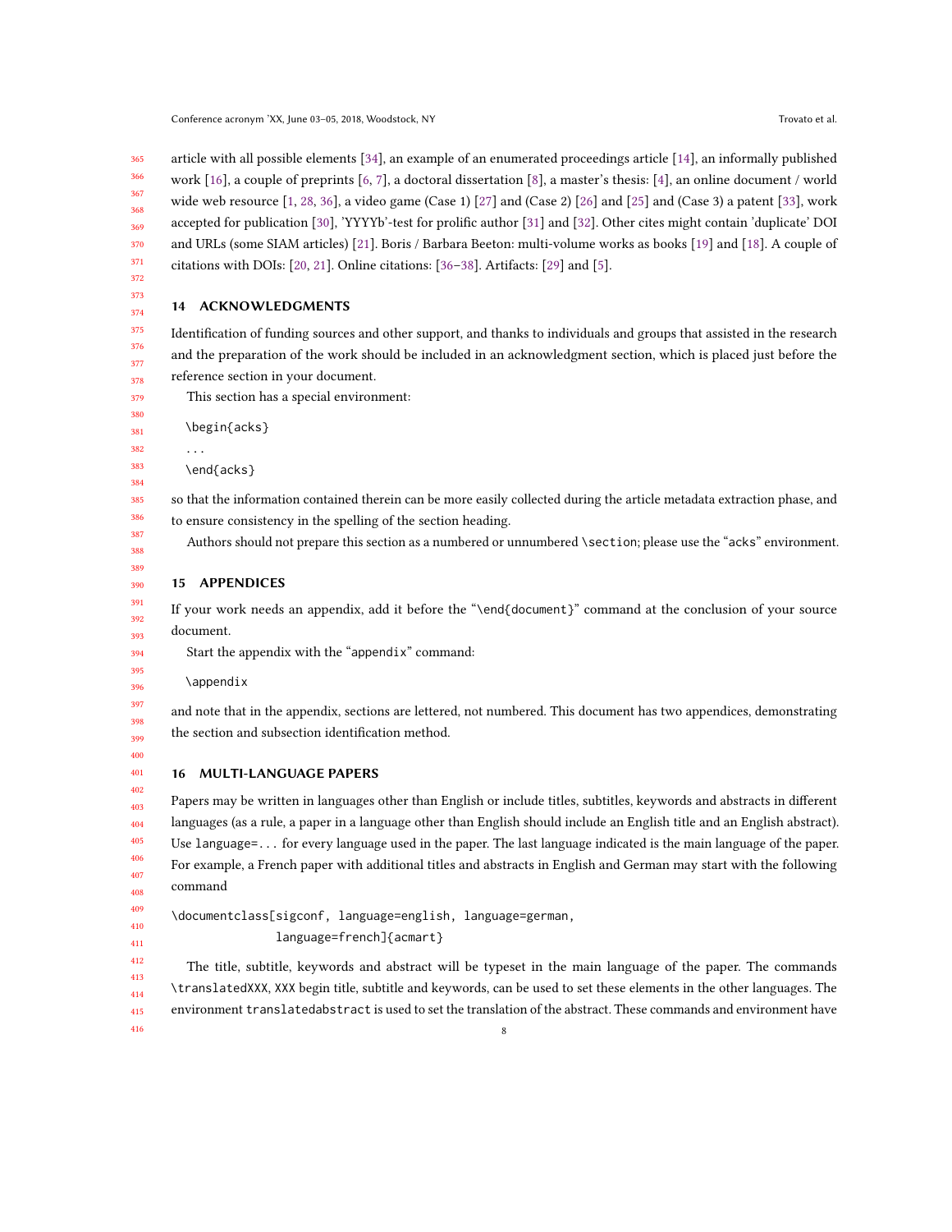365 366 367 368 369 370 371 372 article with all possible elements [\[34\]](#page-9-4), an example of an enumerated proceedings article [\[14\]](#page-8-9), an informally published work [\[16\]](#page-8-10), a couple of preprints [\[6,](#page-8-11) [7\]](#page-8-12), a doctoral dissertation [\[8\]](#page-8-13), a master's thesis: [\[4\]](#page-8-14), an online document / world wide web resource  $[1, 28, 36]$  $[1, 28, 36]$  $[1, 28, 36]$  $[1, 28, 36]$  $[1, 28, 36]$ , a video game (Case 1)  $[27]$  and (Case 2)  $[26]$  and  $[25]$  and (Case 3) a patent  $[33]$ , work accepted for publication [\[30\]](#page-9-11), 'YYYYb'-test for prolific author [\[31\]](#page-9-12) and [\[32\]](#page-9-13). Other cites might contain 'duplicate' DOI and URLs (some SIAM articles) [\[21\]](#page-9-14). Boris / Barbara Beeton: multi-volume works as books [\[19\]](#page-9-15) and [\[18\]](#page-8-16). A couple of citations with DOIs: [\[20,](#page-9-16) [21\]](#page-9-14). Online citations: [\[36–](#page-9-6)[38\]](#page-9-17). Artifacts: [\[29\]](#page-9-18) and [\[5\]](#page-8-17).

373 374

#### 14 ACKNOWLEDGMENTS

375 376 Identification of funding sources and other support, and thanks to individuals and groups that assisted in the research and the preparation of the work should be included in an acknowledgment section, which is placed just before the reference section in your document.

This section has a special environment:

\begin{acks}

...

\end{acks}

so that the information contained therein can be more easily collected during the article metadata extraction phase, and to ensure consistency in the spelling of the section heading.

Authors should not prepare this section as a numbered or unnumbered \section; please use the "acks" environment.

# 15 APPENDICES

If your work needs an appendix, add it before the "\end{document}" command at the conclusion of your source document.

Start the appendix with the "appendix" command:

\appendix

397 398 399 and note that in the appendix, sections are lettered, not numbered. This document has two appendices, demonstrating the section and subsection identification method.

400 401

402

# 16 MULTI-LANGUAGE PAPERS

403 404 405 406 407 408 Papers may be written in languages other than English or include titles, subtitles, keywords and abstracts in different languages (as a rule, a paper in a language other than English should include an English title and an English abstract). Use language=... for every language used in the paper. The last language indicated is the main language of the paper. For example, a French paper with additional titles and abstracts in English and German may start with the following command

409 410 \documentclass[sigconf, language=english, language=german,

language=french]{acmart}

The title, subtitle, keywords and abstract will be typeset in the main language of the paper. The commands \translatedXXX, XXX begin title, subtitle and keywords, can be used to set these elements in the other languages. The environment translatedabstract is used to set the translation of the abstract. These commands and environment have 8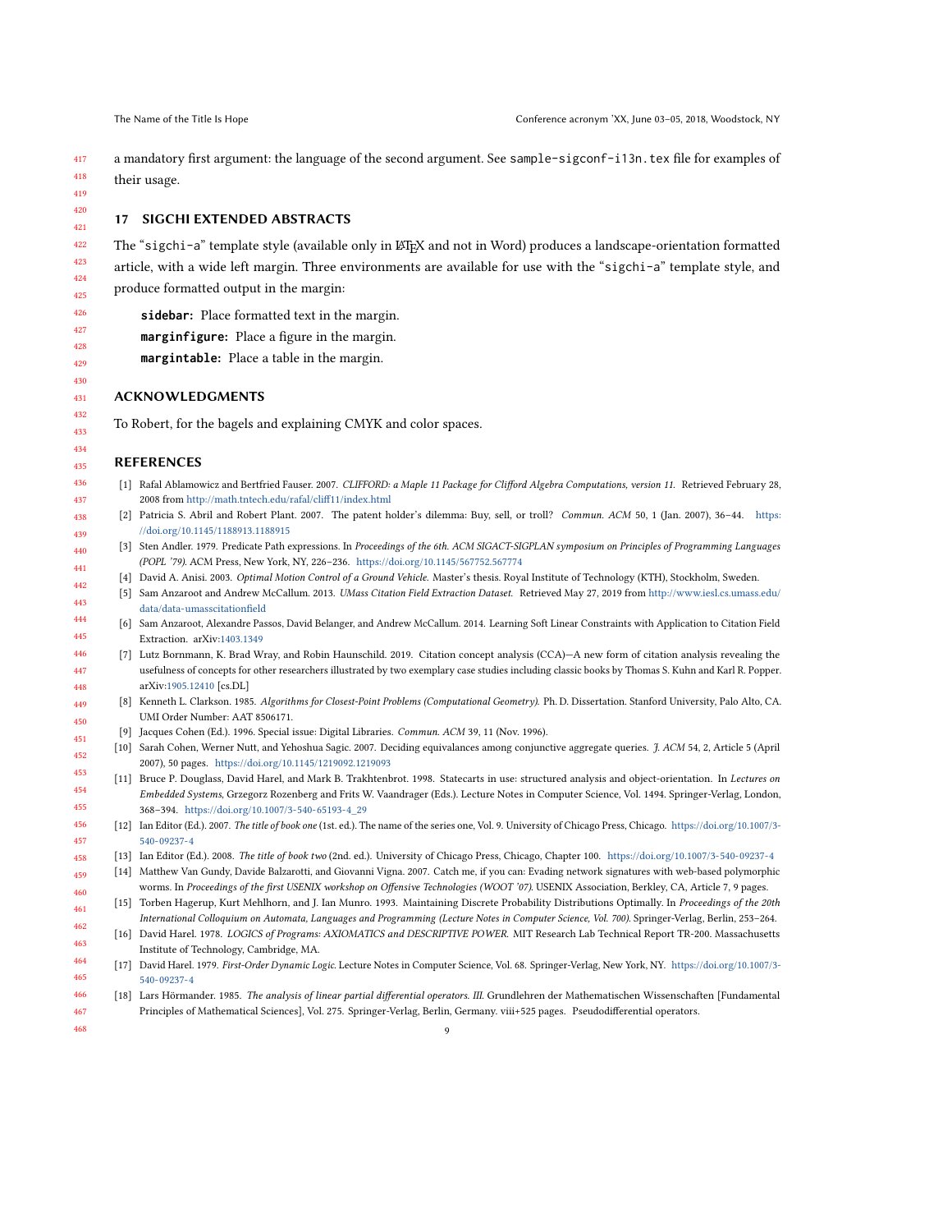<span id="page-8-9"></span><span id="page-8-5"></span>458

468

a mandatory first argument: the language of the second argument. See sample-sigconf-i13n.tex file for examples of their usage.

### 17 SIGCHI EXTENDED ABSTRACTS

The "sigchi-a" template style (available only in LATEX and not in Word) produces a landscape-orientation formatted article, with a wide left margin. Three environments are available for use with the "sigchi-a" template style, and produce formatted output in the margin:

- **sidebar**: Place formatted text in the margin.
- **marginfigure**: Place a figure in the margin.
- **margintable**: Place a table in the margin.

#### ACKNOWLEDGMENTS

To Robert, for the bagels and explaining CMYK and color spaces.

#### REFERENCES

- <span id="page-8-15"></span>[1] Rafal Ablamowicz and Bertfried Fauser. 2007. CLIFFORD: a Maple 11 Package for Clifford Algebra Computations, version 11. Retrieved February 28, 2008 from <http://math.tntech.edu/rafal/cliff11/index.html>
- <span id="page-8-0"></span>Patricia S. Abril and Robert Plant. 2007. The patent holder's dilemma: Buy, sell, or troll? Commun. ACM 50, 1 (Jan. 2007), 36-44. [https:](https://doi.org/10.1145/1188913.1188915) [//doi.org/10.1145/1188913.1188915](https://doi.org/10.1145/1188913.1188915)
- <span id="page-8-7"></span>[3] Sten Andler. 1979. Predicate Path expressions. In Proceedings of the 6th. ACM SIGACT-SIGPLAN symposium on Principles of Programming Languages (POPL '79). ACM Press, New York, NY, 226–236. <https://doi.org/10.1145/567752.567774>
- <span id="page-8-17"></span><span id="page-8-14"></span>[4] David A. Anisi. 2003. Optimal Motion Control of a Ground Vehicle. Master's thesis. Royal Institute of Technology (KTH), Stockholm, Sweden.
- [5] Sam Anzaroot and Andrew McCallum. 2013. UMass Citation Field Extraction Dataset. Retrieved May 27, 2019 from [http://www.iesl.cs.umass.edu/](http://www.iesl.cs.umass.edu/data/data-umasscitationfield) [data/data-umasscitationfield](http://www.iesl.cs.umass.edu/data/data-umasscitationfield)
- <span id="page-8-11"></span>[6] Sam Anzaroot, Alexandre Passos, David Belanger, and Andrew McCallum. 2014. Learning Soft Linear Constraints with Application to Citation Field Extraction. arXiv[:1403.1349](https://arxiv.org/abs/1403.1349)
- <span id="page-8-13"></span><span id="page-8-12"></span>[7] Lutz Bornmann, K. Brad Wray, and Robin Haunschild. 2019. Citation concept analysis (CCA)—A new form of citation analysis revealing the usefulness of concepts for other researchers illustrated by two exemplary case studies including classic books by Thomas S. Kuhn and Karl R. Popper. arXiv[:1905.12410](https://arxiv.org/abs/1905.12410) [cs.DL]
	- [8] Kenneth L. Clarkson. 1985. Algorithms for Closest-Point Problems (Computational Geometry). Ph. D. Dissertation. Stanford University, Palo Alto, CA. UMI Order Number: AAT 8506171.
	- [9] Jacques Cohen (Ed.). 1996. Special issue: Digital Libraries. Commun. ACM 39, 11 (Nov. 1996).
- <span id="page-8-2"></span><span id="page-8-1"></span>[10] Sarah Cohen, Werner Nutt, and Yehoshua Sagic. 2007. Deciding equivalances among conjunctive aggregate queries. J. ACM 54, 2, Article 5 (April 2007), 50 pages. <https://doi.org/10.1145/1219092.1219093>
- <span id="page-8-6"></span>[11] Bruce P. Douglass, David Harel, and Mark B. Trakhtenbrot. 1998. Statecarts in use: structured analysis and object-orientation. In Lectures on Embedded Systems, Grzegorz Rozenberg and Frits W. Vaandrager (Eds.). Lecture Notes in Computer Science, Vol. 1494. Springer-Verlag, London, 368–394. [https://doi.org/10.1007/3-540-65193-4\\_29](https://doi.org/10.1007/3-540-65193-4_29)
- <span id="page-8-4"></span>456 457 [12] Ian Editor (Ed.). 2007. The title of book one (1st. ed.). The name of the series one, Vol. 9. University of Chicago Press, Chicago. [https://doi.org/10.1007/3-](https://doi.org/10.1007/3-540-09237-4) [540-09237-4](https://doi.org/10.1007/3-540-09237-4)
	- [13] Ian Editor (Ed.). 2008. The title of book two (2nd. ed.). University of Chicago Press, Chicago, Chapter 100. <https://doi.org/10.1007/3-540-09237-4>
- 459 460 [14] Matthew Van Gundy, Davide Balzarotti, and Giovanni Vigna. 2007. Catch me, if you can: Evading network signatures with web-based polymorphic worms. In Proceedings of the first USENIX workshop on Offensive Technologies (WOOT '07). USENIX Association, Berkley, CA, Article 7, 9 pages.
- <span id="page-8-8"></span>461 [15] Torben Hagerup, Kurt Mehlhorn, and J. Ian Munro. 1993. Maintaining Discrete Probability Distributions Optimally. In Proceedings of the 20th International Colloquium on Automata, Languages and Programming (Lecture Notes in Computer Science, Vol. 700). Springer-Verlag, Berlin, 253–264.
- <span id="page-8-10"></span>462 463 [16] David Harel. 1978. LOGICS of Programs: AXIOMATICS and DESCRIPTIVE POWER. MIT Research Lab Technical Report TR-200. Massachusetts Institute of Technology, Cambridge, MA.
- <span id="page-8-3"></span>464 465 [17] David Harel. 1979. First-Order Dynamic Logic. Lecture Notes in Computer Science, Vol. 68. Springer-Verlag, New York, NY. [https://doi.org/10.1007/3-](https://doi.org/10.1007/3-540-09237-4) [540-09237-4](https://doi.org/10.1007/3-540-09237-4)
- <span id="page-8-16"></span>466 467 [18] Lars Hörmander. 1985. The analysis of linear partial differential operators. III. Grundlehren der Mathematischen Wissenschaften [Fundamental Principles of Mathematical Sciences], Vol. 275. Springer-Verlag, Berlin, Germany. viii+525 pages. Pseudodifferential operators.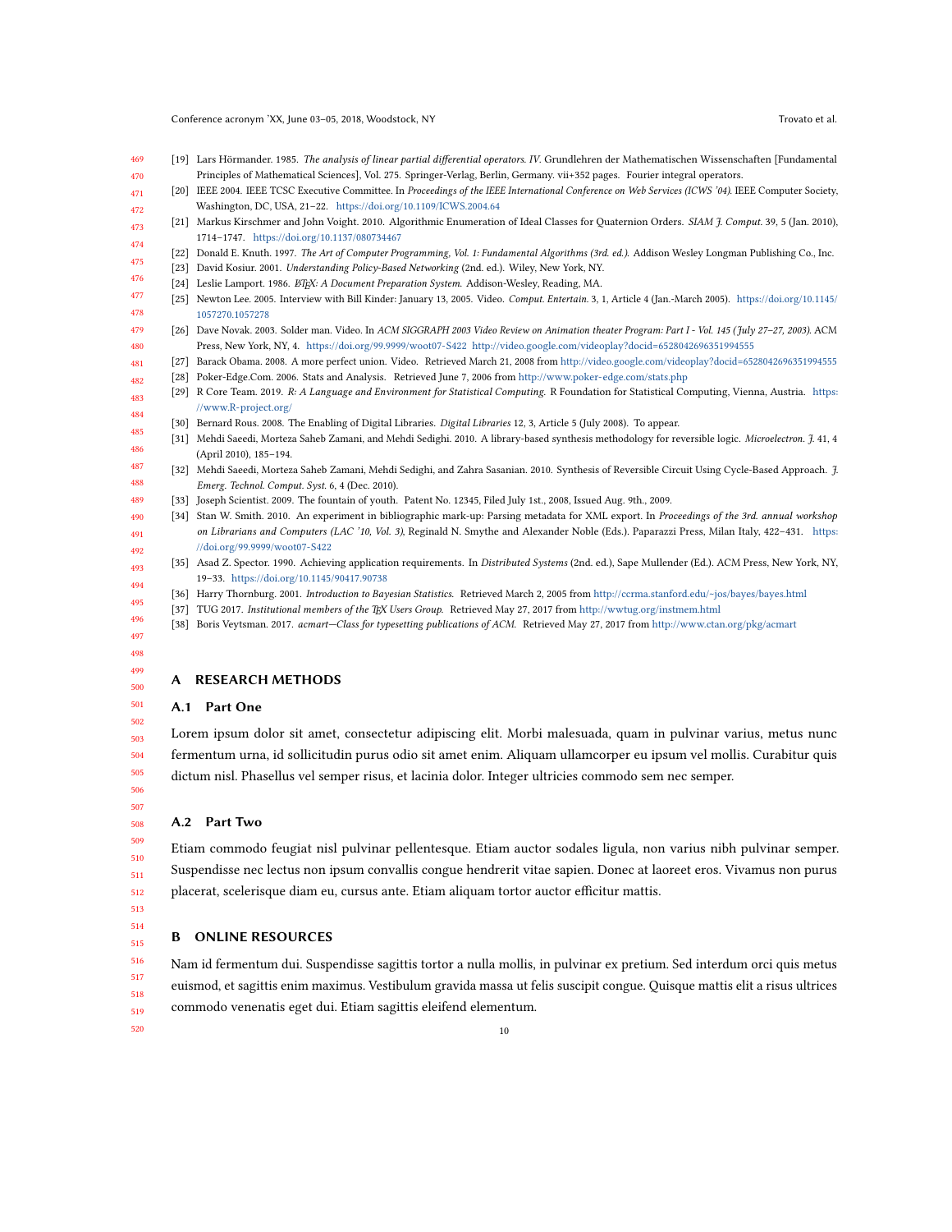<span id="page-9-15"></span>Conference acronym 'XX, June 03-05, 2018, Woodstock, NY Trovato et al. Trovato et al.

- 469 470 [19] Lars Hörmander. 1985. The analysis of linear partial differential operators. IV. Grundlehren der Mathematischen Wissenschaften [Fundamental Principles of Mathematical Sciences], Vol. 275. Springer-Verlag, Berlin, Germany. vii+352 pages. Fourier integral operators.
- <span id="page-9-16"></span>471 472 [20] IEEE 2004. IEEE TCSC Executive Committee. In Proceedings of the IEEE International Conference on Web Services (ICWS '04). IEEE Computer Society, Washington, DC, USA, 21–22. <https://doi.org/10.1109/ICWS.2004.64>
- <span id="page-9-14"></span>473 474 [21] Markus Kirschmer and John Voight. 2010. Algorithmic Enumeration of Ideal Classes for Quaternion Orders. SIAM J. Comput. 39, 5 (Jan. 2010), 1714–1747. <https://doi.org/10.1137/080734467>
- <span id="page-9-3"></span>475 [22] Donald E. Knuth. 1997. The Art of Computer Programming, Vol. 1: Fundamental Algorithms (3rd. ed.). Addison Wesley Longman Publishing Co., Inc.
- <span id="page-9-1"></span>476 [23] David Kosiur. 2001. Understanding Policy-Based Networking (2nd. ed.). Wiley, New York, NY.
- <span id="page-9-9"></span><span id="page-9-0"></span>[24] Leslie Lamport. 1986. ETEX: A Document Preparation System. Addison-Wesley, Reading, MA.
- 477 478 [25] Newton Lee. 2005. Interview with Bill Kinder: January 13, 2005. Video. Comput. Entertain. 3, 1, Article 4 (Jan.-March 2005). [https://doi.org/10.1145/](https://doi.org/10.1145/1057270.1057278) [1057270.1057278](https://doi.org/10.1145/1057270.1057278)
- <span id="page-9-8"></span>479 480 [26] Dave Novak. 2003. Solder man. Video. In ACM SIGGRAPH 2003 Video Review on Animation theater Program: Part I - Vol. 145 (July 27–27, 2003). ACM Press, New York, NY, 4. <https://doi.org/99.9999/woot07-S422> <http://video.google.com/videoplay?docid=6528042696351994555>
- <span id="page-9-7"></span>481 [27] Barack Obama. 2008. A more perfect union. Video. Retrieved March 21, 2008 from <http://video.google.com/videoplay?docid=6528042696351994555>
- <span id="page-9-5"></span>482 [28] Poker-Edge.Com. 2006. Stats and Analysis. Retrieved June 7, 2006 from <http://www.poker-edge.com/stats.php>
- <span id="page-9-18"></span>483 484 [29] R Core Team. 2019. R: A Language and Environment for Statistical Computing. R Foundation for Statistical Computing, Vienna, Austria. [https:](https://www.R-project.org/) [//www.R-project.org/](https://www.R-project.org/)
	- [30] Bernard Rous. 2008. The Enabling of Digital Libraries. Digital Libraries 12, 3, Article 5 (July 2008). To appear.
- <span id="page-9-12"></span><span id="page-9-11"></span>485 486 [31] Mehdi Saeedi, Morteza Saheb Zamani, and Mehdi Sedighi. 2010. A library-based synthesis methodology for reversible logic. Microelectron. J. 41, 4 (April 2010), 185–194.
- <span id="page-9-13"></span>487 488 [32] Mehdi Saeedi, Morteza Saheb Zamani, Mehdi Sedighi, and Zahra Sasanian. 2010. Synthesis of Reversible Circuit Using Cycle-Based Approach. J. Emerg. Technol. Comput. Syst. 6, 4 (Dec. 2010).
- <span id="page-9-10"></span><span id="page-9-4"></span>489 [33] Joseph Scientist. 2009. The fountain of youth. Patent No. 12345, Filed July 1st., 2008, Issued Aug. 9th., 2009.
- 492 [34] Stan W. Smith. 2010. An experiment in bibliographic mark-up: Parsing metadata for XML export. In Proceedings of the 3rd. annual workshop on Librarians and Computers (LAC '10, Vol. 3), Reginald N. Smythe and Alexander Noble (Eds.). Paparazzi Press, Milan Italy, 422–431. [https:](https://doi.org/99.9999/woot07-S422) [//doi.org/99.9999/woot07-S422](https://doi.org/99.9999/woot07-S422)
- <span id="page-9-2"></span>493 494 [35] Asad Z. Spector. 1990. Achieving application requirements. In Distributed Systems (2nd. ed.), Sape Mullender (Ed.). ACM Press, New York, NY, 19–33. <https://doi.org/10.1145/90417.90738>
	- [36] Harry Thornburg. 2001. Introduction to Bayesian Statistics. Retrieved March 2, 2005 from <http://ccrma.stanford.edu/~jos/bayes/bayes.html>
	- [37] TUG 2017. Institutional members of the TEX Users Group. Retrieved May 27, 2017 from <http://wwtug.org/instmem.html>
	- [38] Boris Veytsman. 2017. acmart—Class for typesetting publications of ACM. Retrieved May 27, 2017 from <http://www.ctan.org/pkg/acmart>

#### 497 498 499

500

502

<span id="page-9-17"></span><span id="page-9-6"></span>495 496

490 491

#### A RESEARCH METHODS

#### 501 A.1 Part One

503 504 505 Lorem ipsum dolor sit amet, consectetur adipiscing elit. Morbi malesuada, quam in pulvinar varius, metus nunc fermentum urna, id sollicitudin purus odio sit amet enim. Aliquam ullamcorper eu ipsum vel mollis. Curabitur quis dictum nisl. Phasellus vel semper risus, et lacinia dolor. Integer ultricies commodo sem nec semper.

506 507 508

#### A.2 Part Two

509 510 511 512 Etiam commodo feugiat nisl pulvinar pellentesque. Etiam auctor sodales ligula, non varius nibh pulvinar semper. Suspendisse nec lectus non ipsum convallis congue hendrerit vitae sapien. Donec at laoreet eros. Vivamus non purus placerat, scelerisque diam eu, cursus ante. Etiam aliquam tortor auctor efficitur mattis.

513 514 515

# B ONLINE RESOURCES

516 517 518 519 Nam id fermentum dui. Suspendisse sagittis tortor a nulla mollis, in pulvinar ex pretium. Sed interdum orci quis metus euismod, et sagittis enim maximus. Vestibulum gravida massa ut felis suscipit congue. Quisque mattis elit a risus ultrices commodo venenatis eget dui. Etiam sagittis eleifend elementum.

520